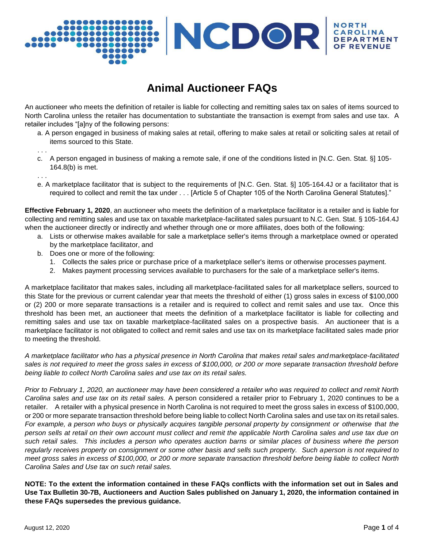# VCDOR **DEP**

# **Animal Auctioneer FAQs**

An auctioneer who meets the definition of retailer is liable for collecting and remitting sales tax on sales of items sourced to North Carolina unless the retailer has documentation to substantiate the transaction is exempt from sales and use tax. A retailer includes "[a]ny of the following persons:

a. A person engaged in business of making sales at retail, offering to make sales at retail or soliciting sales at retail of items sourced to this State.

. . .

- c. A person engaged in business of making a remote sale, if one of the conditions listed in [N.C. Gen. Stat. §] 105- 164.8(b) is met.
- . . .
- e. A marketplace facilitator that is subject to the requirements of [N.C. Gen. Stat. §] 105-164.4J or a facilitator that is required to collect and remit the tax under . . . [Article 5 of Chapter 105 of the North Carolina General Statutes]."

**Effective February 1, 2020**, an auctioneer who meets the definition of a marketplace facilitator is a retailer and is liable for collecting and remitting sales and use tax on taxable marketplace-facilitated sales pursuant to N.C. Gen. Stat. § 105-164.4J when the auctioneer directly or indirectly and whether through one or more affiliates, does both of the following:

- a. Lists or otherwise makes available for sale a marketplace seller's items through a marketplace owned or operated by the marketplace facilitator, and
- b. Does one or more of the following:
	- 1. Collects the sales price or purchase price of a marketplace seller's items or otherwise processes payment.
	- 2. Makes payment processing services available to purchasers for the sale of a marketplace seller's items.

A marketplace facilitator that makes sales, including all marketplace-facilitated sales for all marketplace sellers, sourced to this State for the previous or current calendar year that meets the threshold of either (1) gross sales in excess of \$100,000 or (2) 200 or more separate transactions is a retailer and is required to collect and remit sales and use tax. Once this threshold has been met, an auctioneer that meets the definition of a marketplace facilitator is liable for collecting and remitting sales and use tax on taxable marketplace-facilitated sales on a prospective basis. An auctioneer that is a marketplace facilitator is not obligated to collect and remit sales and use tax on its marketplace facilitated sales made prior to meeting the threshold.

*A marketplace facilitator who has a physical presence in North Carolina that makes retail sales and marketplace-facilitated sales is not required to meet the gross sales in excess of \$100,000, or 200 or more separate transaction threshold before being liable to collect North Carolina sales and use tax on its retail sales.*

*Prior to February 1, 2020, an auctioneer may have been considered a retailer who was required to collect and remit North Carolina sales and use tax on its retail sales.* A person considered a retailer prior to February 1, 2020 continues to be a retailer. A retailer with a physical presence in North Carolina is not required to meet the gross sales in excess of \$100,000, or 200 or more separate transaction threshold before being liable to collect North Carolina sales and use tax on its retail sales. *For example, a person who buys or physically acquires tangible personal property by consignment or otherwise that the person sells at retail on their own account must collect and remit the applicable North Carolina sales and use tax due on such retail sales. This includes a person who operates auction barns or similar places of business where the person regularly receives property on consignment or some other basis and sells such property. Such aperson is not required to* meet gross sales in excess of \$100,000, or 200 or more separate transaction threshold before being liable to collect North *Carolina Sales and Use tax on such retail sales.*

**NOTE: To the extent the information contained in these FAQs conflicts with the information set out in Sales and**  Use Tax Bulletin 30-7B, Auctioneers and Auction Sales published on January 1, 2020, the information contained in **these FAQs supersedes the previous guidance.**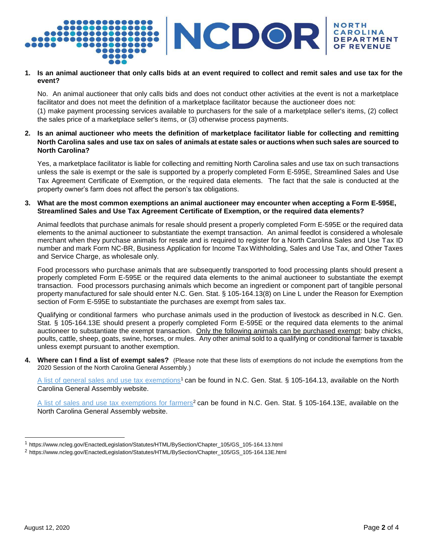

#### **1. Is an animal auctioneer that only calls bids at an event required to collect and remit sales and use tax for the event?**

No. An animal auctioneer that only calls bids and does not conduct other activities at the event is not a marketplace facilitator and does not meet the definition of a marketplace facilitator because the auctioneer does not: (1) make payment processing services available to purchasers for the sale of a marketplace seller's items, (2) collect the sales price of a marketplace seller's items, or (3) otherwise process payments.

#### **2. Is an animal auctioneer who meets the definition of marketplace facilitator liable for collecting and remitting North Carolina sales and use tax on sales of animals at estate sales or auctions when such sales are sourced to North Carolina?**

Yes, a marketplace facilitator is liable for collecting and remitting North Carolina sales and use tax on such transactions unless the sale is exempt or the sale is supported by a properly completed Form E-595E, Streamlined Sales and Use Tax Agreement Certificate of Exemption, or the required data elements. The fact that the sale is conducted at the property owner's farm does not affect the person's tax obligations.

#### **3. What are the most common exemptions an animal auctioneer may encounter when accepting a Form E-595E, Streamlined Sales and Use Tax Agreement Certificate of Exemption, or the required data elements?**

Animal feedlots that purchase animals for resale should present a properly completed Form E-595E or the required data elements to the animal auctioneer to substantiate the exempt transaction. An animal feedlot is considered a wholesale merchant when they purchase animals for resale and is required to register for a North Carolina Sales and Use Tax ID number and mark Form NC-BR, Business Application for Income Tax Withholding, Sales and Use Tax, and Other Taxes and Service Charge, as wholesale only.

Food processors who purchase animals that are subsequently transported to food processing plants should present a properly completed Form E-595E or the required data elements to the animal auctioneer to substantiate the exempt transaction. Food processors purchasing animals which become an ingredient or component part of tangible personal property manufactured for sale should enter N.C. Gen. Stat. § 105-164.13(8) on Line L under the Reason for Exemption section of Form E-595E to substantiate the purchases are exempt from sales tax.

Qualifying or conditional farmers who purchase animals used in the production of livestock as described in N.C. Gen. Stat. § 105-164.13E should present a properly completed Form E-595E or the required data elements to the animal auctioneer to substantiate the exempt transaction. Only the following animals can be purchased exempt: baby chicks, poults, cattle, sheep, goats, swine, horses, or mules. Any other animal sold to a qualifying or conditional farmer is taxable unless exempt pursuant to another exemption.

**4. Where can I find a list of exempt sales?** (Please note that these lists of exemptions do not include the exemptions from the 2020 Session of the North Carolina General Assembly.)

[A list of general sales and use tax exemptions](https://www.ncleg.gov/EnactedLegislation/Statutes/HTML/BySection/Chapter_105/GS_105-164.13.html)<sup>1</sup> can be found in N.C. Gen. Stat. § 105-164.13, available on the North Carolina General Assembly website.

[A list of sales and use tax exemptions for farmers](https://www.ncleg.gov/EnactedLegislation/Statutes/HTML/BySection/Chapter_105/GS_105-164.13E.html)<sup>2</sup> can be found in N.C. Gen. Stat. § 105-164.13E, available on the North Carolina General Assembly website.

<sup>1</sup> https:[//www.ncleg.gov/EnactedLegislation/Statutes/HTML/BySection/Chapter\\_105/GS\\_105-164.13.html](http://www.ncleg.gov/EnactedLegislation/Statutes/HTML/BySection/Chapter_105/GS_105-164.13.html)

<sup>2</sup> [https://www.ncleg.gov/EnactedLegislation/Statutes/HTML/BySection/Chapter\\_105/GS\\_105-164.13E.html](https://www.ncleg.gov/EnactedLegislation/Statutes/HTML/BySection/Chapter_105/GS_105-164.13E.html)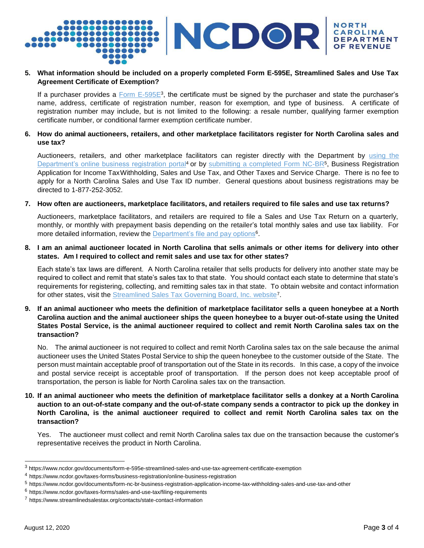

### **5. What information should be included on a properly completed Form E-595E, Streamlined Sales and Use Tax Agreement Certificate of Exemption?**

If a purchaser provides a  $Form E-595E3$ , the certificate must be signed by the purchaser and state the purchaser's</u> name, address, certificate of registration number, reason for exemption, and type of business. A certificate of registration number may include, but is not limited to the following: a resale number, qualifying farmer exemption certificate number, or conditional farmer exemption certificate number.

#### **6. How do animal auctioneers, retailers, and other marketplace facilitators register for North Carolina sales and use tax?**

Auctioneers, retailers, and other marketplace facilitators can register directly with the Department by using the [Department's online business registration portal](https://www.ncdor.gov/taxes-forms/business-registration/online-business-registration)<sup>4</sup> or by [submitting a completed Form NC-BR](https://www.ncdor.gov/documents/form-nc-br-business-registration-application-income-tax-withholding-sales-and-use-tax-and-other)<sup>5</sup>, Business Registration Application for Income TaxWithholding, Sales and Use Tax, and Other Taxes and Service Charge. There is no fee to apply for a North Carolina Sales and Use Tax ID number. General questions about business registrations may be directed to 1-877-252-3052.

#### **7. How often are auctioneers, marketplace facilitators, and retailers required to file sales and use tax returns?**

Auctioneers, marketplace facilitators, and retailers are required to file a Sales and Use Tax Return on a quarterly, monthly, or monthly with prepayment basis depending on the retailer's total monthly sales and use tax liability. For more detailed information, review the **[Department's file and pay options](https://www.ncdor.gov/taxes-forms/sales-and-use-tax/filing-requirements)**<sup>6</sup>.

#### **8. I am an animal auctioneer located in North Carolina that sells animals or other items for delivery into other states. Am I required to collect and remit sales and use tax for other states?**

Each state's tax laws are different. A North Carolina retailer that sells products for delivery into another state may be required to collect and remit that state's sales tax to that state. You should contact each state to determine that state's requirements for registering, collecting, and remitting sales tax in that state. To obtain website and contact information for other states, visit the [Streamlined Sales Tax Governing Board, Inc. website](https://www.streamlinedsalestax.org/contacts/state-contact-information)<sup>7</sup>.

#### **9. If an animal auctioneer who meets the definition of marketplace facilitator sells a queen honeybee at a North Carolina auction and the animal auctioneer ships the queen honeybee to a buyer out-of-state using the United States Postal Service, is the animal auctioneer required to collect and remit North Carolina sales tax on the transaction?**

No. The animal auctioneer is not required to collect and remit North Carolina sales tax on the sale because the animal auctioneer uses the United States Postal Service to ship the queen honeybee to the customer outside of the State. The person must maintain acceptable proof of transportation out of the State in its records. In this case, a copy of the invoice and postal service receipt is acceptable proof of transportation. If the person does not keep acceptable proof of transportation, the person is liable for North Carolina sales tax on the transaction.

# **10. If an animal auctioneer who meets the definition of marketplace facilitator sells a donkey at a North Carolina auction to an out-of-state company and the out-of-state company sends a contractor to pick up the donkey in North Carolina, is the animal auctioneer required to collect and remit North Carolina sales tax on the transaction?**

Yes. The auctioneer must collect and remit North Carolina sales tax due on the transaction because the customer's representative receives the product in North Carolina.

<sup>3</sup> https:/[/www.ncdor.gov/documents/form-e-595e-streamlined-sales-and-use-tax-agreement-certificate-exemption](http://www.ncdor.gov/documents/form-e-595e-streamlined-sales-and-use-tax-agreement-certificate-exemption)

<sup>4</sup> https:[//www.ncdor.gov/taxes-forms/business-registration/online-business-registration](http://www.ncdor.gov/taxes-forms/business-registration/online-business-registration)

<sup>5</sup> https:[//www.ncdor.gov/documents/form-nc-br-business-registration-application-income-tax-withholding-sales-and-use-tax-and-other](http://www.ncdor.gov/documents/form-nc-br-business-registration-application-income-tax-withholding-sales-and-use-tax-and-other)

<sup>6</sup> https:[//www.ncdor.gov/taxes-forms/sales-and-use-tax/filing-requirements](http://www.ncdor.gov/taxes-forms/sales-and-use-tax/filing-requirements)

<sup>7</sup> https:[//www.streamlinedsalestax.org/contacts/state-contact-information](http://www.streamlinedsalestax.org/contacts/state-contact-information)